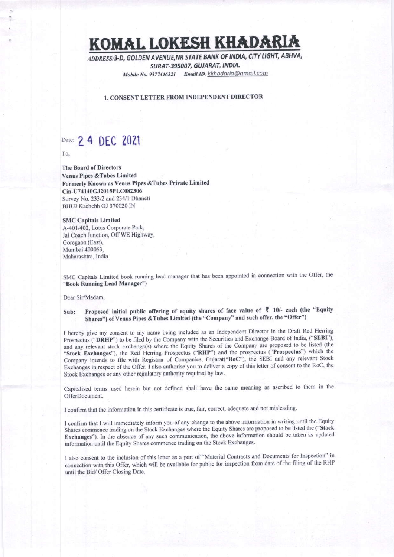# KOMAL LOKESH KHADAR

ADDRESS:3-D, GOLDEN AVENUE, NR STATE BANK OF INDIA, CITY LIGHT, ABHVA, SURAT-395007, GUJARAT, INDIA. Mobile No. 9377446321 Email ID. kkhadaria@gmail.com

### **1. CONSENT LETTER FROM INDEPENDENT DIRECTOR**

## Date: 2 4 DEC 2021

To,

**The Board of Directors Venus Pipes & Tubes Limited** Formerly Known as Venus Pipes & Tubes Private Limited Cin-U74140GJ2015PLC082306 Survey No. 233/2 and 234/1 Dhaneti BHUJ Kachchh GJ 370020 IN

### **SMC Capitals Limited**

A-401/402, Lotus Corporate Park, Jai Coach Junction, Off WE Highway, Goregaon (East), Mumbai 400063, Maharashtra, India

SMC Capitals Limited book running lead manager that has been appointed in connection with the Offer, the "Book Running Lead Manager")

Dear Sir/Madam,

#### Proposed initial public offering of equity shares of face value of ₹ 10/- each (the "Equity Sub: Shares") of Venus Pipes & Tubes Limited (the "Company" and such offer, the "Offer")

I hereby give my consent to my name being included as an Independent Director in the Draft Red Herring Prospectus ("DRHP") to be filed by the Company with the Securities and Exchange Board of India, ("SEBI"), and any relevant stock exchange(s) where the Equity Shares of the Company are proposed to be listed (the "Stock Exchanges"), the Red Herring Prospectus ("RHP") and the prospectus ("Prospectus") which the Company intends to file with Registrar of Companies, Gujarat("RoC"), the SEBI and any relevant Stock Exchanges in respect of the Offer. I also authorise you to deliver a copy of this letter of consent to the RoC, the Stock Exchanges or any other regulatory authority required by law.

Capitalised terms used herein but not defined shall have the same meaning as ascribed to them in the OfferDocument.

I confirm that the information in this certificate is true, fair, correct, adequate and not misleading.

I confirm that I will immediately inform you of any change to the above information in writing until the Equity Shares commence trading on the Stock Exchanges where the Equity Shares are proposed to be listed the ("Stock Exchanges"). In the absence of any such communication, the above information should be taken as updated information until the Equity Shares commence trading on the Stock Exchanges.

I also consent to the inclusion of this letter as a part of "Material Contracts and Documents for Inspection" in connection with this Offer, which will be available for public for inspection from date of the filing of the RHP until the Bid/ Offer Closing Date.